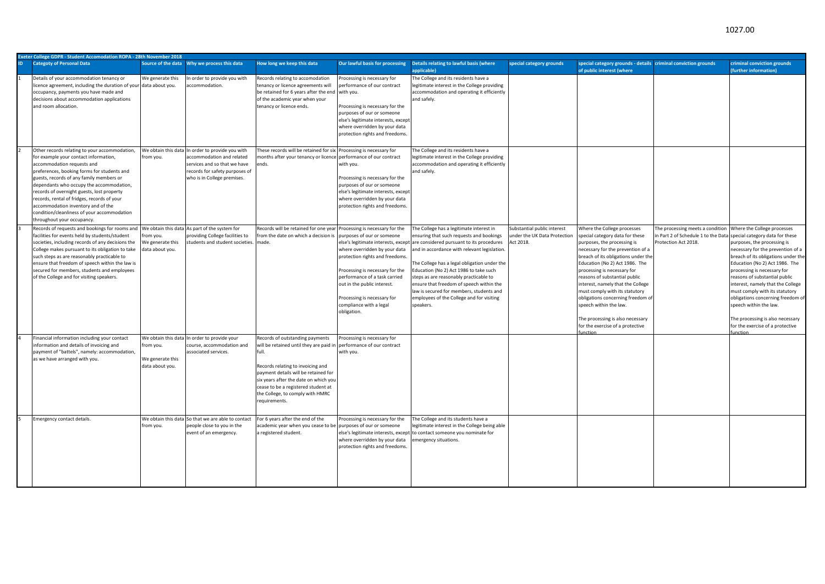|           | Exeter College GDPR - Student Accomodation ROPA - 28th November 2018                                                                                                                                                                                                                                                                                                                                                                                                        |                                                                         |                                                                                                                                                            |                                                                                                                                                                                                                                                                                                       |                                                                                                                                                                                                                                                                                                                                                      |                                                                                                                                                                                                                                                                                                                                                                                                                                                                       |                                                                          |                                                                                                                                                                                                                                                                                                                                                                                                                                                                                                            |                                                                                                                                 |                                                                                                                                                                                                                                                                                                                                                                                                                                                                   |  |  |
|-----------|-----------------------------------------------------------------------------------------------------------------------------------------------------------------------------------------------------------------------------------------------------------------------------------------------------------------------------------------------------------------------------------------------------------------------------------------------------------------------------|-------------------------------------------------------------------------|------------------------------------------------------------------------------------------------------------------------------------------------------------|-------------------------------------------------------------------------------------------------------------------------------------------------------------------------------------------------------------------------------------------------------------------------------------------------------|------------------------------------------------------------------------------------------------------------------------------------------------------------------------------------------------------------------------------------------------------------------------------------------------------------------------------------------------------|-----------------------------------------------------------------------------------------------------------------------------------------------------------------------------------------------------------------------------------------------------------------------------------------------------------------------------------------------------------------------------------------------------------------------------------------------------------------------|--------------------------------------------------------------------------|------------------------------------------------------------------------------------------------------------------------------------------------------------------------------------------------------------------------------------------------------------------------------------------------------------------------------------------------------------------------------------------------------------------------------------------------------------------------------------------------------------|---------------------------------------------------------------------------------------------------------------------------------|-------------------------------------------------------------------------------------------------------------------------------------------------------------------------------------------------------------------------------------------------------------------------------------------------------------------------------------------------------------------------------------------------------------------------------------------------------------------|--|--|
| <b>ID</b> | <b>Categoty of Personal Data</b>                                                                                                                                                                                                                                                                                                                                                                                                                                            | Source of the data                                                      | Why we process this data                                                                                                                                   | How long we keep this data                                                                                                                                                                                                                                                                            | Our lawful basis for processing                                                                                                                                                                                                                                                                                                                      | Details relating to lawful basis (where<br>applicable)                                                                                                                                                                                                                                                                                                                                                                                                                | special category grounds                                                 | special category grounds - details criminal conviction grounds<br>of public interest (where                                                                                                                                                                                                                                                                                                                                                                                                                |                                                                                                                                 | criminal conviction grounds<br><b>further information</b> )                                                                                                                                                                                                                                                                                                                                                                                                       |  |  |
|           | Details of your accommodation tenancy or<br>licence agreement, including the duration of your data about you.<br>occupancy, payments you have made and<br>decisions about accommodation applications<br>and room allocation.                                                                                                                                                                                                                                                | We generate this                                                        | n order to provide you with<br>accommodation.                                                                                                              | Records relating to accomodation<br>tenancy or licence agreements will<br>be retained for 6 years after the end<br>of the academic year when your<br>tenancy or licence ends.                                                                                                                         | Processing is necessary for<br>performance of our contract<br>with you.<br>Processing is necessary for the<br>purposes of our or someone<br>else's legitimate interests, except<br>where overridden by your data<br>protection rights and freedoms.                                                                                                  | The College and its residents have a<br>legitimate interest in the College providing<br>accommodation and operating it efficiently<br>and safely.                                                                                                                                                                                                                                                                                                                     |                                                                          |                                                                                                                                                                                                                                                                                                                                                                                                                                                                                                            |                                                                                                                                 |                                                                                                                                                                                                                                                                                                                                                                                                                                                                   |  |  |
|           | Other records relating to your accommodation,<br>for example your contact information,<br>accommodation requests and<br>preferences, booking forms for students and<br>guests, records of any family members or<br>dependants who occupy the accommodation,<br>records of overnight guests, lost property<br>records, rental of fridges, records of your<br>accommodation inventory and of the<br>condition/cleanliness of your accommodation<br>throughout your occupancy. | We obtain this data<br>from you.                                        | In order to provide you with<br>accommodation and related<br>services and so that we have<br>records for safety purposes of<br>who is in College premises. | These records will be retained for six Processing is necessary for<br>months after your tenancy or licence performance of our contract<br>ends.                                                                                                                                                       | with you.<br>Processing is necessary for the<br>purposes of our or someone<br>else's legitimate interests, except<br>where overridden by your data<br>protection rights and freedoms                                                                                                                                                                 | he College and its residents have a<br>legitimate interest in the College providing<br>accommodation and operating it efficiently<br>and safely.                                                                                                                                                                                                                                                                                                                      |                                                                          |                                                                                                                                                                                                                                                                                                                                                                                                                                                                                                            |                                                                                                                                 |                                                                                                                                                                                                                                                                                                                                                                                                                                                                   |  |  |
|           | Records of requests and bookings for rooms an<br>facilities for events held by students/student<br>societies, including records of any decisions the<br>College makes pursuant to its obligation to take<br>such steps as are reasonably practicable to<br>ensure that freedom of speech within the law is<br>secured for members, students and employees<br>of the College and for visiting speakers.                                                                      | rom you.<br>We generate this<br>data about you.                         | We obtain this data As part of the system for<br>providing College facilities to<br>students and student societies.                                        | Records will be retained for one year<br>from the date on which a decision is<br>made.                                                                                                                                                                                                                | Processing is necessary for the<br>purposes of our or someone<br>else's legitimate interests, except<br>where overridden by your data<br>protection rights and freedoms.<br>Processing is necessary for the<br>performance of a task carried<br>out in the public interest.<br>Processing is necessary for<br>compliance with a legal<br>obligation. | he College has a legitimate interest in<br>ensuring that such requests and bookings<br>are considered pursuant to its procedures<br>and in accordance with relevant legislation.<br>he College has a legal obligation under the<br>Education (No 2) Act 1986 to take such<br>steps as are reasonably practicable to<br>ensure that freedom of speech within the<br>law is secured for members, students and<br>employees of the College and for visiting<br>speakers. | Substantial public interest<br>under the UK Data Protection<br>Act 2018. | Where the College processes<br>special category data for these<br>purposes, the processing is<br>necessary for the prevention of a<br>breach of its obligations under the<br>Education (No 2) Act 1986. The<br>processing is necessary for<br>reasons of substantial public<br>interest, namely that the College<br>must comply with its statutory<br>obligations concerning freedom of<br>speech within the law.<br>The processing is also necessary<br>for the exercise of a protective<br><b>nction</b> | The processing meets a condition<br>in Part 2 of Schedule 1 to the Data special category data for these<br>Protection Act 2018. | Where the College processes<br>purposes, the processing is<br>necessary for the prevention of a<br>breach of its obligations under the<br>Education (No 2) Act 1986. The<br>processing is necessary for<br>reasons of substantial public<br>interest, namely that the College<br>must comply with its statutory<br>obligations concerning freedom of<br>speech within the law.<br>The processing is also necessary<br>for the exercise of a protective<br>inction |  |  |
|           | Financial information including your contact<br>information and details of invoicing and<br>payment of "battels", namely: accommodation,<br>as we have arranged with you.                                                                                                                                                                                                                                                                                                   | We obtain this data<br>from you.<br>We generate this<br>data about you. | In order to provide your<br>course, accommodation and<br>associated services.                                                                              | Records of outstanding payments<br>will be retained until they are paid in<br>full.<br>Records relating to invoicing and<br>payment details will be retained for<br>six years after the date on which you<br>cease to be a registered student at<br>the College, to comply with HMRC<br>requirements. | Processing is necessary for<br>performance of our contract<br>with you.                                                                                                                                                                                                                                                                              |                                                                                                                                                                                                                                                                                                                                                                                                                                                                       |                                                                          |                                                                                                                                                                                                                                                                                                                                                                                                                                                                                                            |                                                                                                                                 |                                                                                                                                                                                                                                                                                                                                                                                                                                                                   |  |  |
|           | <b>Emergency contact details</b>                                                                                                                                                                                                                                                                                                                                                                                                                                            | We obtain this data<br>from you.                                        | So that we are able to contact<br>people close to you in the<br>event of an emergency.                                                                     | For 6 years after the end of the<br>academic year when you cease to be<br>a registered student.                                                                                                                                                                                                       | Processing is necessary for the<br>purposes of our or someone<br>else's legitimate interests, excep<br>where overridden by your data<br>protection rights and freedoms                                                                                                                                                                               | he College and its students have a<br>legitimate interest in the College being able<br>to contact someone you nominate for<br>mergency situations.                                                                                                                                                                                                                                                                                                                    |                                                                          |                                                                                                                                                                                                                                                                                                                                                                                                                                                                                                            |                                                                                                                                 |                                                                                                                                                                                                                                                                                                                                                                                                                                                                   |  |  |